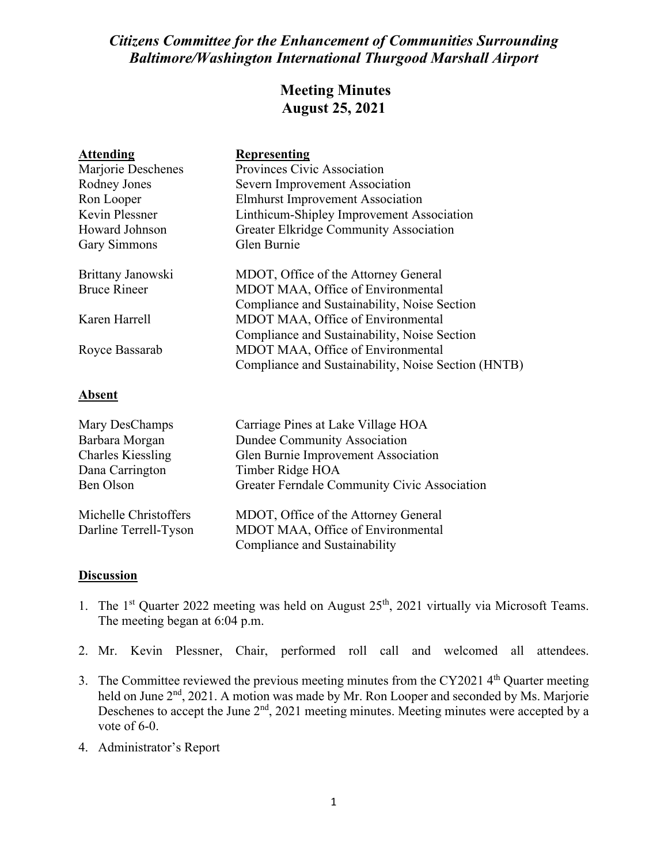## *Citizens Committee for the Enhancement of Communities Surrounding Baltimore/Washington International Thurgood Marshall Airport*

## **Meeting Minutes August 25, 2021**

| <b>Attending</b>      | <b>Representing</b>                                 |
|-----------------------|-----------------------------------------------------|
| Marjorie Deschenes    | Provinces Civic Association                         |
| Rodney Jones          | Severn Improvement Association                      |
| Ron Looper            | <b>Elmhurst Improvement Association</b>             |
| <b>Kevin Plessner</b> | Linthicum-Shipley Improvement Association           |
| Howard Johnson        | <b>Greater Elkridge Community Association</b>       |
| <b>Gary Simmons</b>   | Glen Burnie                                         |
| Brittany Janowski     | MDOT, Office of the Attorney General                |
| <b>Bruce Rineer</b>   | MDOT MAA, Office of Environmental                   |
|                       | Compliance and Sustainability, Noise Section        |
| Karen Harrell         | MDOT MAA, Office of Environmental                   |
|                       | Compliance and Sustainability, Noise Section        |
| Royce Bassarab        | MDOT MAA, Office of Environmental                   |
|                       | Compliance and Sustainability, Noise Section (HNTB) |
| <u>Absent</u>         |                                                     |
| Mary DesChamps        | Carriage Pines at Lake Village HOA                  |

| Mary DesChamps           | Carriage Pines at Lake Village HOA           |
|--------------------------|----------------------------------------------|
| Barbara Morgan           | <b>Dundee Community Association</b>          |
| <b>Charles Kiessling</b> | Glen Burnie Improvement Association          |
| Dana Carrington          | Timber Ridge HOA                             |
| Ben Olson                | Greater Ferndale Community Civic Association |
| Michelle Christoffers    | MDOT, Office of the Attorney General         |
| Darline Terrell-Tyson    | MDOT MAA, Office of Environmental            |
|                          | Compliance and Sustainability                |

## **Discussion**

- 1. The 1<sup>st</sup> Quarter 2022 meeting was held on August  $25<sup>th</sup>$ , 2021 virtually via Microsoft Teams. The meeting began at 6:04 p.m.
- 2. Mr. Kevin Plessner, Chair, performed roll call and welcomed all attendees.
- 3. The Committee reviewed the previous meeting minutes from the CY2021  $4<sup>th</sup>$  Quarter meeting held on June 2<sup>nd</sup>, 2021. A motion was made by Mr. Ron Looper and seconded by Ms. Marjorie Deschenes to accept the June 2<sup>nd</sup>, 2021 meeting minutes. Meeting minutes were accepted by a vote of 6-0.
- 4. Administrator's Report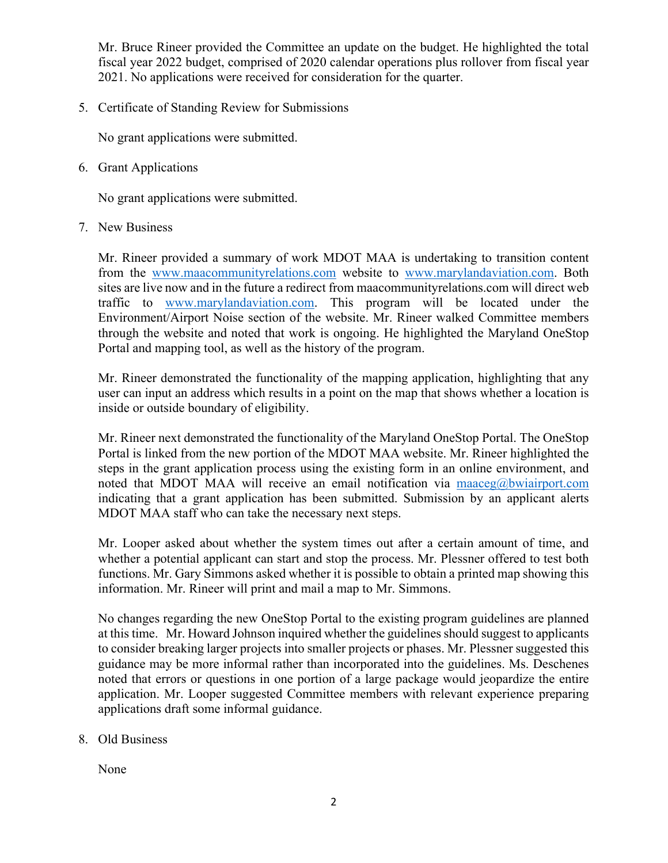Mr. Bruce Rineer provided the Committee an update on the budget. He highlighted the total fiscal year 2022 budget, comprised of 2020 calendar operations plus rollover from fiscal year 2021. No applications were received for consideration for the quarter.

5. Certificate of Standing Review for Submissions

No grant applications were submitted.

6. Grant Applications

No grant applications were submitted.

7. New Business

Mr. Rineer provided a summary of work MDOT MAA is undertaking to transition content from the [www.maacommunityrelations.com](http://www.maacommunityrelations.com/) website to [www.marylandaviation.com.](http://www.marylandaviation.com/) Both sites are live now and in the future a redirect from maacommunityrelations.com will direct web traffic to [www.marylandaviation.com.](http://www.marylandaviation.com/) This program will be located under the Environment/Airport Noise section of the website. Mr. Rineer walked Committee members through the website and noted that work is ongoing. He highlighted the Maryland OneStop Portal and mapping tool, as well as the history of the program.

Mr. Rineer demonstrated the functionality of the mapping application, highlighting that any user can input an address which results in a point on the map that shows whether a location is inside or outside boundary of eligibility.

Mr. Rineer next demonstrated the functionality of the Maryland OneStop Portal. The OneStop Portal is linked from the new portion of the MDOT MAA website. Mr. Rineer highlighted the steps in the grant application process using the existing form in an online environment, and noted that MDOT MAA will receive an email notification via [maaceg@bwiairport.com](mailto:maaceg@bwiairport.com) indicating that a grant application has been submitted. Submission by an applicant alerts MDOT MAA staff who can take the necessary next steps.

Mr. Looper asked about whether the system times out after a certain amount of time, and whether a potential applicant can start and stop the process. Mr. Plessner offered to test both functions. Mr. Gary Simmons asked whether it is possible to obtain a printed map showing this information. Mr. Rineer will print and mail a map to Mr. Simmons.

No changes regarding the new OneStop Portal to the existing program guidelines are planned at this time. Mr. Howard Johnson inquired whether the guidelines should suggest to applicants to consider breaking larger projects into smaller projects or phases. Mr. Plessner suggested this guidance may be more informal rather than incorporated into the guidelines. Ms. Deschenes noted that errors or questions in one portion of a large package would jeopardize the entire application. Mr. Looper suggested Committee members with relevant experience preparing applications draft some informal guidance.

8. Old Business

None